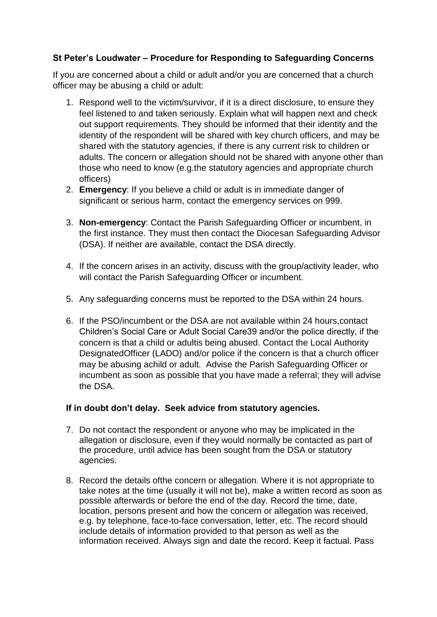## **St Peter's Loudwater – Procedure for Responding to Safeguarding Concerns**

If you are concerned about a child or adult and/or you are concerned that a church officer may be abusing a child or adult:

- 1. Respond well to the victim/survivor, if it is a direct disclosure, to ensure they feel listened to and taken seriously. Explain what will happen next and check out support requirements. They should be informed that their identity and the identity of the respondent will be shared with key church officers, and may be shared with the statutory agencies, if there is any current risk to children or adults. The concern or allegation should not be shared with anyone other than those who need to know (e.g.the statutory agencies and appropriate church officers)
- 2. **Emergency**: If you believe a child or adult is in immediate danger of significant or serious harm, contact the emergency services on 999.
- 3. **Non-emergency**: Contact the Parish Safeguarding Officer or incumbent, in the first instance. They must then contact the Diocesan Safeguarding Advisor (DSA). If neither are available, contact the DSA directly.
- 4. If the concern arises in an activity, discuss with the group/activity leader, who will contact the Parish Safeguarding Officer or incumbent.
- 5. Any safeguarding concerns must be reported to the DSA within 24 hours.
- 6. If the PSO/incumbent or the DSA are not available within 24 hours,contact Children's Social Care or Adult Social Care39 and/or the police directly, if the concern is that a child or adultis being abused. Contact the Local Authority DesignatedOfficer (LADO) and/or police if the concern is that a church officer may be abusing achild or adult. Advise the Parish Safeguarding Officer or incumbent as soon as possible that you have made a referral; they will advise the DSA.

## **If in doubt don't delay. Seek advice from statutory agencies.**

- 7. Do not contact the respondent or anyone who may be implicated in the allegation or disclosure, even if they would normally be contacted as part of the procedure, until advice has been sought from the DSA or statutory agencies.
- 8. Record the details ofthe concern or allegation. Where it is not appropriate to take notes at the time (usually it will not be), make a written record as soon as possible afterwards or before the end of the day. Record the time, date, location, persons present and how the concern or allegation was received, e.g. by telephone, face-to-face conversation, letter, etc. The record should include details of information provided to that person as well as the information received. Always sign and date the record. Keep it factual. Pass